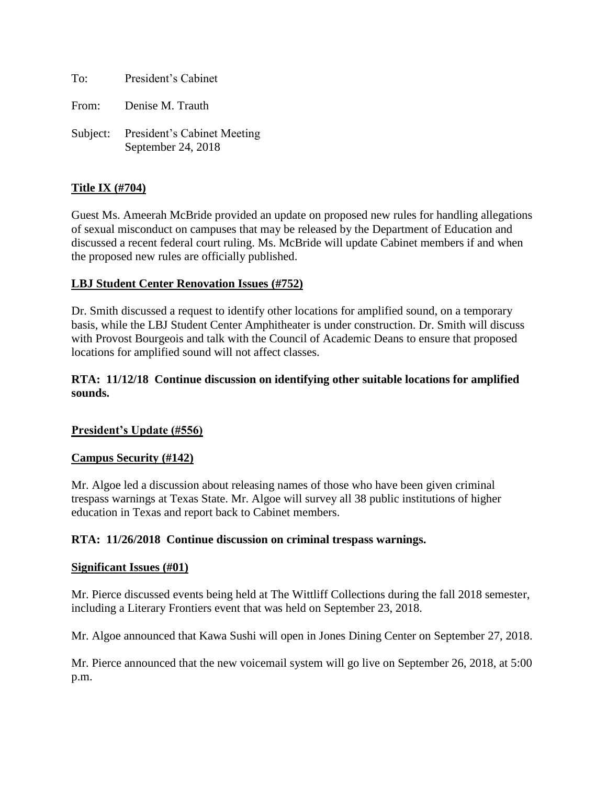To: President's Cabinet

From: Denise M. Trauth

Subject: President's Cabinet Meeting September 24, 2018

# **Title IX (#704)**

Guest Ms. Ameerah McBride provided an update on proposed new rules for handling allegations of sexual misconduct on campuses that may be released by the Department of Education and discussed a recent federal court ruling. Ms. McBride will update Cabinet members if and when the proposed new rules are officially published.

### **LBJ Student Center Renovation Issues (#752)**

Dr. Smith discussed a request to identify other locations for amplified sound, on a temporary basis, while the LBJ Student Center Amphitheater is under construction. Dr. Smith will discuss with Provost Bourgeois and talk with the Council of Academic Deans to ensure that proposed locations for amplified sound will not affect classes.

# **RTA: 11/12/18 Continue discussion on identifying other suitable locations for amplified sounds.**

#### **President's Update (#556)**

#### **Campus Security (#142)**

Mr. Algoe led a discussion about releasing names of those who have been given criminal trespass warnings at Texas State. Mr. Algoe will survey all 38 public institutions of higher education in Texas and report back to Cabinet members.

#### **RTA: 11/26/2018 Continue discussion on criminal trespass warnings.**

#### **Significant Issues (#01)**

Mr. Pierce discussed events being held at The Wittliff Collections during the fall 2018 semester, including a Literary Frontiers event that was held on September 23, 2018.

Mr. Algoe announced that Kawa Sushi will open in Jones Dining Center on September 27, 2018.

Mr. Pierce announced that the new voicemail system will go live on September 26, 2018, at 5:00 p.m.